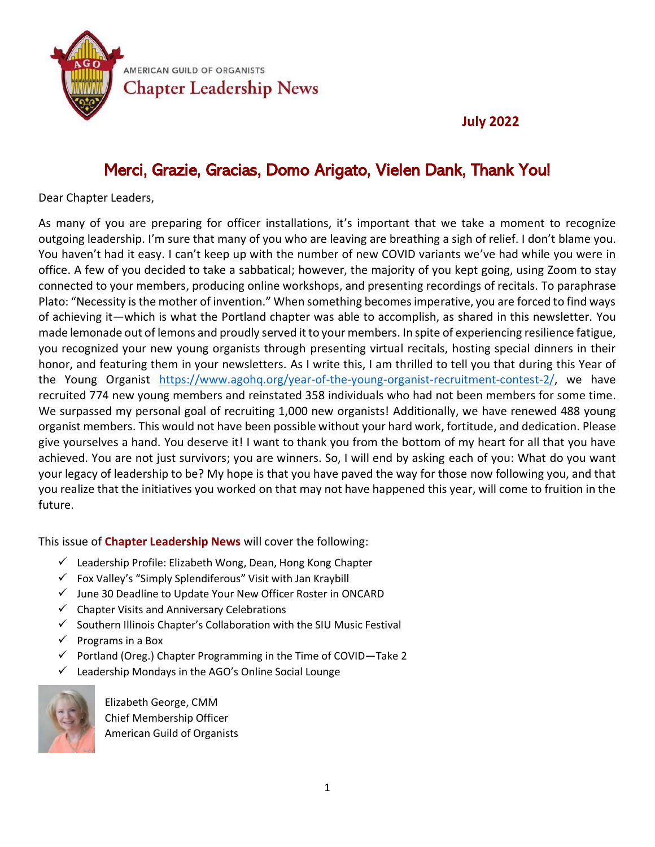

#### **July 2022**

### Merci, Grazie, Gracias, Domo Arigato, Vielen Dank, Thank You!

Dear Chapter Leaders,

As many of you are preparing for officer installations, it's important that we take a moment to recognize outgoing leadership. I'm sure that many of you who are leaving are breathing a sigh of relief. I don't blame you. You haven't had it easy. I can't keep up with the number of new COVID variants we've had while you were in office. A few of you decided to take a sabbatical; however, the majority of you kept going, using Zoom to stay connected to your members, producing online workshops, and presenting recordings of recitals. To paraphrase Plato: "Necessity is the mother of invention." When something becomes imperative, you are forced to find ways of achieving it—which is what the Portland chapter was able to accomplish, as shared in this newsletter. You made lemonade out of lemons and proudly served it to your members. In spite of experiencing resilience fatigue, you recognized your new young organists through presenting virtual recitals, hosting special dinners in their honor, and featuring them in your newsletters. As I write this, I am thrilled to tell you that during this Year of the Young Organist [https://www.agohq.org/year-of-the-young-organist-recruitment-contest-2/,](https://www.agohq.org/year-of-the-young-organist-recruitment-contest-2/) we have recruited 774 new young members and reinstated 358 individuals who had not been members for some time. We surpassed my personal goal of recruiting 1,000 new organists! Additionally, we have renewed 488 young organist members. This would not have been possible without your hard work, fortitude, and dedication. Please give yourselves a hand. You deserve it! I want to thank you from the bottom of my heart for all that you have achieved. You are not just survivors; you are winners. So, I will end by asking each of you: What do you want your legacy of leadership to be? My hope is that you have paved the way for those now following you, and that you realize that the initiatives you worked on that may not have happened this year, will come to fruition in the future.

This issue of **Chapter Leadership News** will cover the following:

- ✓ Leadership Profile: Elizabeth Wong, Dean, Hong Kong Chapter
- ✓ Fox Valley's "Simply Splendiferous" Visit with Jan Kraybill
- ✓ June 30 Deadline to Update Your New Officer Roster in ONCARD
- ✓ Chapter Visits and Anniversary Celebrations
- ✓ Southern Illinois Chapter's Collaboration with the SIU Music Festival
- $\checkmark$  Programs in a Box
- $\checkmark$  Portland (Oreg.) Chapter Programming in the Time of COVID-Take 2
- Leadership Mondays in the AGO's Online Social Lounge



Elizabeth George, CMM Chief Membership Officer American Guild of Organists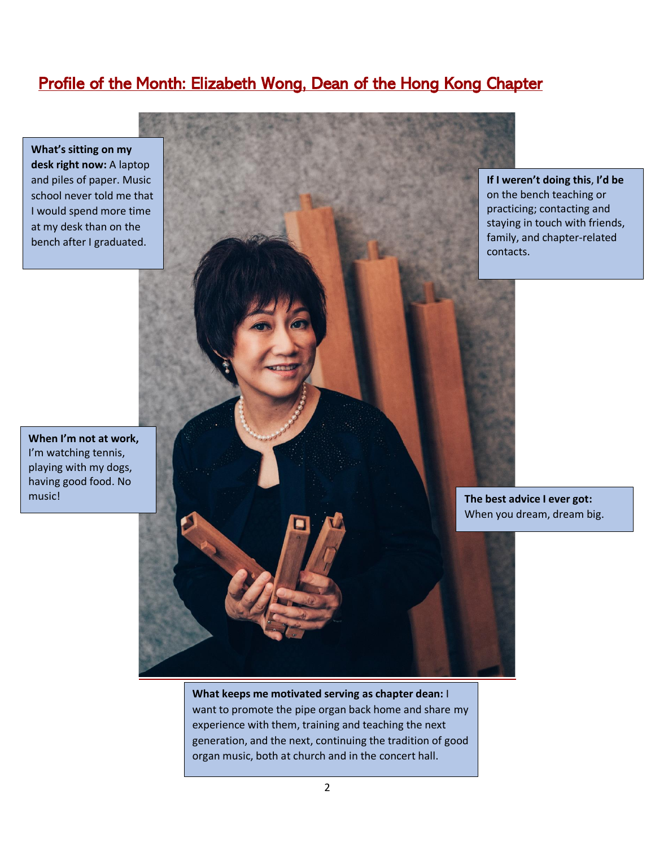#### Profile of the Month: Elizabeth Wong, Dean of the Hong Kong Chapter

**What's sitting on my desk right now:** A laptop and piles of paper. Music school never told me that I would spend more time at my desk than on the bench after I graduated.

**When I'm not at work,**  I'm watching tennis, playing with my dogs, having good food. No music!



**If I weren't doing this**, **I'd be** on the bench teaching or practicing; contacting and staying in touch with friends, family, and chapter-related contacts.

**The best advice I ever got:**  When you dream, dream big.

**What keeps me motivated serving as chapter dean:** I want to promote the pipe organ back home and share my experience with them, training and teaching the next generation, and the next, continuing the tradition of good organ music, both at church and in the concert hall.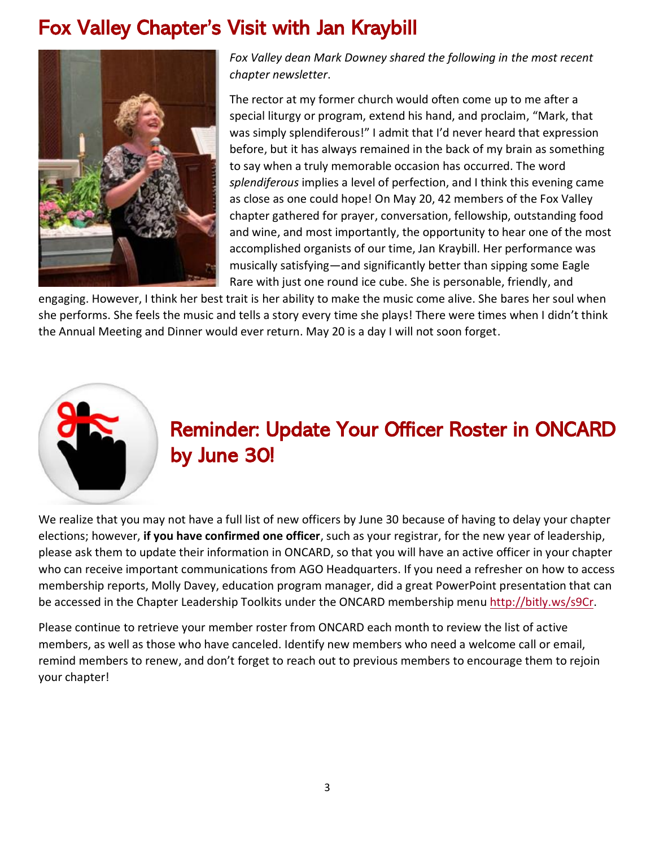## Fox Valley Chapter's Visit with Jan Kraybill



*Fox Valley dean Mark Downey shared the following in the most recent chapter newsletter*.

The rector at my former church would often come up to me after a special liturgy or program, extend his hand, and proclaim, "Mark, that was simply splendiferous!" I admit that I'd never heard that expression before, but it has always remained in the back of my brain as something to say when a truly memorable occasion has occurred. The word *splendiferous* implies a level of perfection, and I think this evening came as close as one could hope! On May 20, 42 members of the Fox Valley chapter gathered for prayer, conversation, fellowship, outstanding food and wine, and most importantly, the opportunity to hear one of the most accomplished organists of our time, Jan Kraybill. Her performance was musically satisfying—and significantly better than sipping some Eagle Rare with just one round ice cube. She is personable, friendly, and

engaging. However, I think her best trait is her ability to make the music come alive. She bares her soul when she performs. She feels the music and tells a story every time she plays! There were times when I didn't think the Annual Meeting and Dinner would ever return. May 20 is a day I will not soon forget.



# Reminder: Update Your Officer Roster in ONCARD by June 30!

We realize that you may not have a full list of new officers by June 30 because of having to delay your chapter elections; however, **if you have confirmed one officer**, such as your registrar, for the new year of leadership, please ask them to update their information in ONCARD, so that you will have an active officer in your chapter who can receive important communications from AGO Headquarters. If you need a refresher on how to access membership reports, Molly Davey, education program manager, did a great PowerPoint presentation that can be accessed in the Chapter Leadership Toolkits under the ONCARD membership menu [http://bitly.ws/s9Cr.](http://bitly.ws/s9Cr)

Please continue to retrieve your member roster from ONCARD each month to review the list of active members, as well as those who have canceled. Identify new members who need a welcome call or email, remind members to renew, and don't forget to reach out to previous members to encourage them to rejoin your chapter!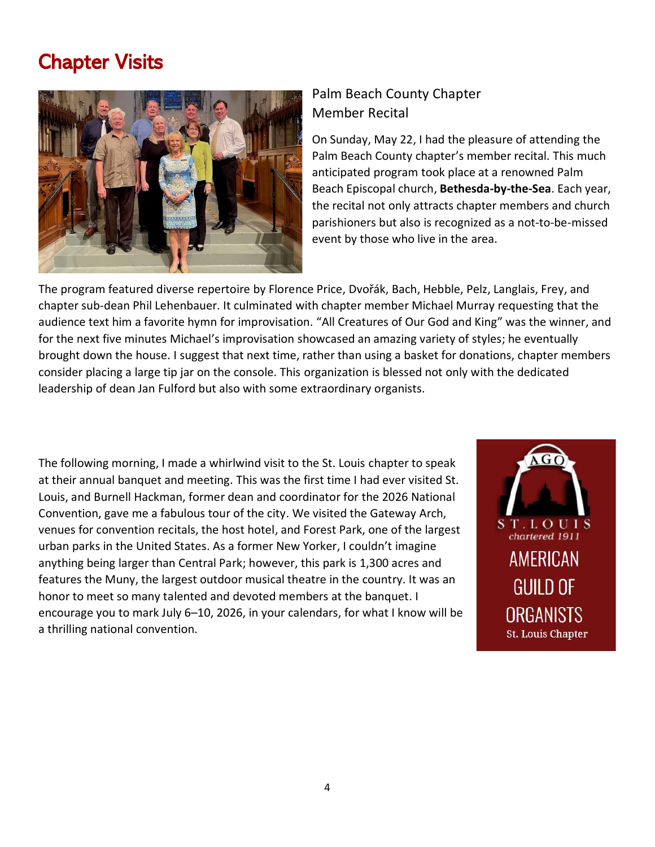### Chapter Visits



#### Palm Beach County Chapter Member Recital

On Sunday, May 22, I had the pleasure of attending the Palm Beach County chapter's member recital. This much anticipated program took place at a renowned Palm Beach Episcopal church, **Bethesda-by-the-Sea**. Each year, the recital not only attracts chapter members and church parishioners but also is recognized as a not-to-be-missed event by those who live in the area.

The program featured diverse repertoire by Florence Price, Dvořák, Bach, Hebble, Pelz, Langlais, Frey, and chapter sub-dean Phil Lehenbauer. It culminated with chapter member Michael Murray requesting that the audience text him a favorite hymn for improvisation. "All Creatures of Our God and King" was the winner, and for the next five minutes Michael's improvisation showcased an amazing variety of styles; he eventually brought down the house. I suggest that next time, rather than using a basket for donations, chapter members consider placing a large tip jar on the console. This organization is blessed not only with the dedicated leadership of dean Jan Fulford but also with some extraordinary organists.

The following morning, I made a whirlwind visit to the St. Louis chapter to speak at their annual banquet and meeting. This was the first time I had ever visited St. Louis, and Burnell Hackman, former dean and coordinator for the 2026 National Convention, gave me a fabulous tour of the city. We visited the Gateway Arch, venues for convention recitals, the host hotel, and Forest Park, one of the largest urban parks in the United States. As a former New Yorker, I couldn't imagine anything being larger than Central Park; however, this park is 1,300 acres and features the Muny, the largest outdoor musical theatre in the country. It was an honor to meet so many talented and devoted members at the banquet. I encourage you to mark July 6–10, 2026, in your calendars, for what I know will be a thrilling national convention.

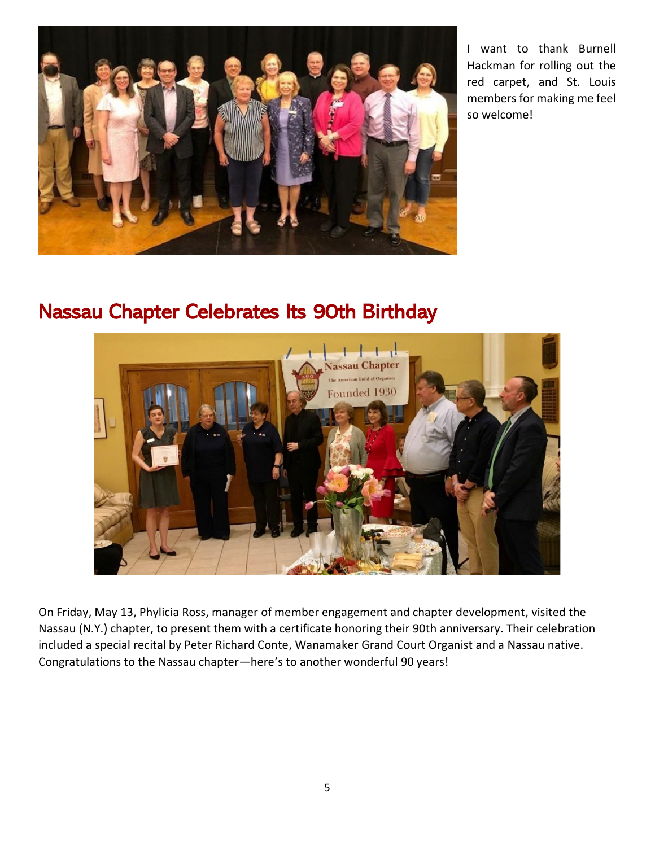

I want to thank Burnell Hackman for rolling out the red carpet, and St. Louis members for making me feel so welcome!

### Nassau Chapter Celebrates Its 90th Birthday



On Friday, May 13, Phylicia Ross, manager of member engagement and chapter development, visited the Nassau (N.Y.) chapter, to present them with a certificate honoring their 90th anniversary. Their celebration included a special recital by Peter Richard Conte, Wanamaker Grand Court Organist and a Nassau native. Congratulations to the Nassau chapter—here's to another wonderful 90 years!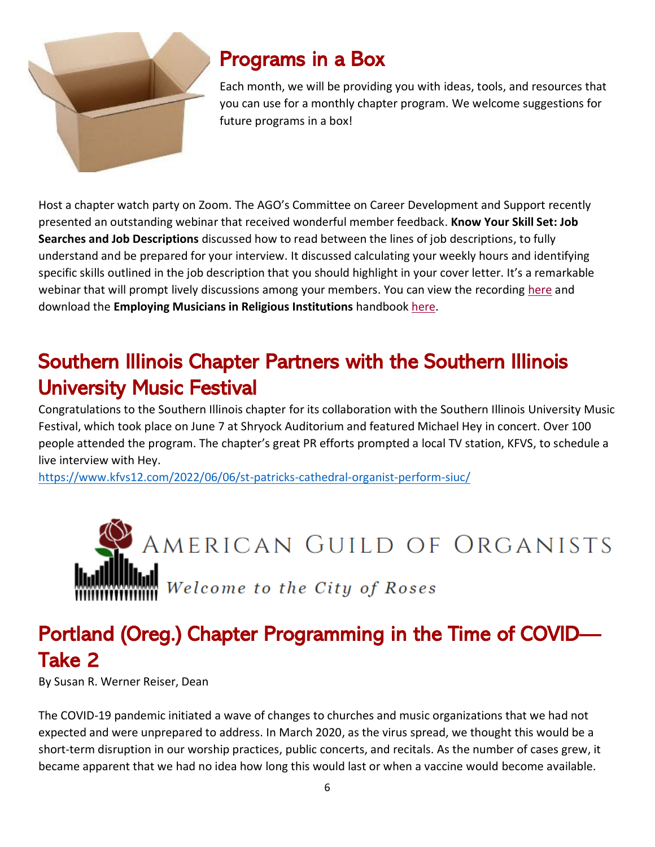

## Programs in a Box

Each month, we will be providing you with ideas, tools, and resources that you can use for a monthly chapter program. We welcome suggestions for future programs in a box!

Host a chapter watch party on Zoom. The AGO's Committee on Career Development and Support recently presented an outstanding webinar that received wonderful member feedback. **Know Your Skill Set: Job Searches and Job Descriptions** discussed how to read between the lines of job descriptions, to fully understand and be prepared for your interview. It discussed calculating your weekly hours and identifying specific skills outlined in the job description that you should highlight in your cover letter. It's a remarkable webinar that will prompt lively discussions among your members. You can view the recording [here](https://www.youtube.com/watch?v=sZn4tJGczs4&t=8s) and download the **Employing Musicians in Religious Institutions** handbook [here.](https://www.agohq.org/wp-content/uploads/2021/03/AGO_Employment_Handbook_2ndPrinting_FNL_online.pdf)

# Southern Illinois Chapter Partners with the Southern Illinois University Music Festival

Congratulations to the Southern Illinois chapter for its collaboration with the Southern Illinois University Music Festival, which took place on June 7 at Shryock Auditorium and featured Michael Hey in concert. Over 100 people attended the program. The chapter's great PR efforts prompted a local TV station, KFVS, to schedule a live interview with Hey.

<https://www.kfvs12.com/2022/06/06/st-patricks-cathedral-organist-perform-siuc/>



# Portland (Oreg.) Chapter Programming in the Time of COVID— Take 2

By Susan R. Werner Reiser, Dean

The COVID-19 pandemic initiated a wave of changes to churches and music organizations that we had not expected and were unprepared to address. In March 2020, as the virus spread, we thought this would be a short-term disruption in our worship practices, public concerts, and recitals. As the number of cases grew, it became apparent that we had no idea how long this would last or when a vaccine would become available.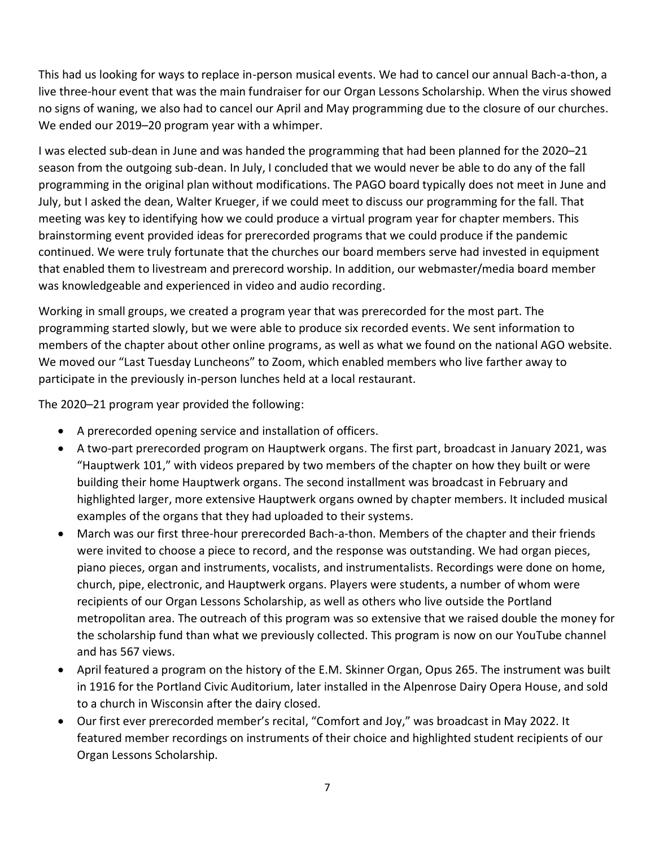This had us looking for ways to replace in-person musical events. We had to cancel our annual Bach-a-thon, a live three-hour event that was the main fundraiser for our Organ Lessons Scholarship. When the virus showed no signs of waning, we also had to cancel our April and May programming due to the closure of our churches. We ended our 2019–20 program year with a whimper.

I was elected sub-dean in June and was handed the programming that had been planned for the 2020–21 season from the outgoing sub-dean. In July, I concluded that we would never be able to do any of the fall programming in the original plan without modifications. The PAGO board typically does not meet in June and July, but I asked the dean, Walter Krueger, if we could meet to discuss our programming for the fall. That meeting was key to identifying how we could produce a virtual program year for chapter members. This brainstorming event provided ideas for prerecorded programs that we could produce if the pandemic continued. We were truly fortunate that the churches our board members serve had invested in equipment that enabled them to livestream and prerecord worship. In addition, our webmaster/media board member was knowledgeable and experienced in video and audio recording.

Working in small groups, we created a program year that was prerecorded for the most part. The programming started slowly, but we were able to produce six recorded events. We sent information to members of the chapter about other online programs, as well as what we found on the national AGO website. We moved our "Last Tuesday Luncheons" to Zoom, which enabled members who live farther away to participate in the previously in-person lunches held at a local restaurant.

The 2020–21 program year provided the following:

- A prerecorded opening service and installation of officers.
- A two-part prerecorded program on Hauptwerk organs. The first part, broadcast in January 2021, was "Hauptwerk 101," with videos prepared by two members of the chapter on how they built or were building their home Hauptwerk organs. The second installment was broadcast in February and highlighted larger, more extensive Hauptwerk organs owned by chapter members. It included musical examples of the organs that they had uploaded to their systems.
- March was our first three-hour prerecorded Bach-a-thon. Members of the chapter and their friends were invited to choose a piece to record, and the response was outstanding. We had organ pieces, piano pieces, organ and instruments, vocalists, and instrumentalists. Recordings were done on home, church, pipe, electronic, and Hauptwerk organs. Players were students, a number of whom were recipients of our Organ Lessons Scholarship, as well as others who live outside the Portland metropolitan area. The outreach of this program was so extensive that we raised double the money for the scholarship fund than what we previously collected. This program is now on our YouTube channel and has 567 views.
- April featured a program on the history of the E.M. Skinner Organ, Opus 265. The instrument was built in 1916 for the Portland Civic Auditorium, later installed in the Alpenrose Dairy Opera House, and sold to a church in Wisconsin after the dairy closed.
- Our first ever prerecorded member's recital, "Comfort and Joy," was broadcast in May 2022. It featured member recordings on instruments of their choice and highlighted student recipients of our Organ Lessons Scholarship.